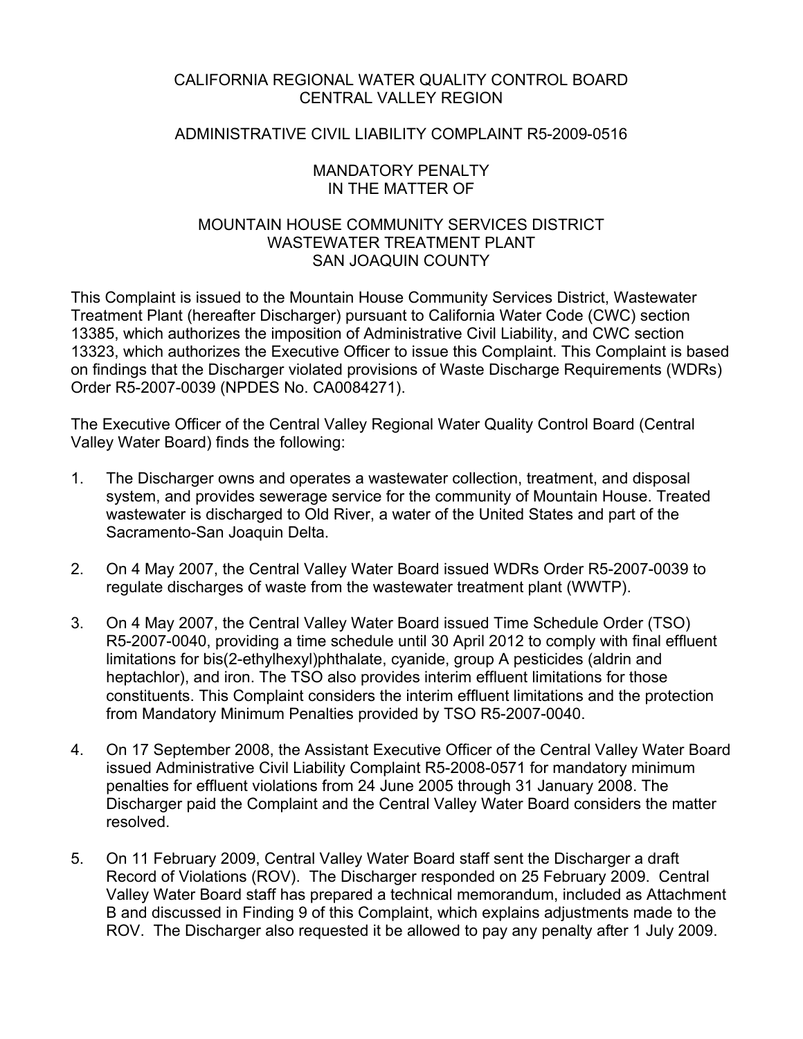# CALIFORNIA REGIONAL WATER QUALITY CONTROL BOARD CENTRAL VALLEY REGION

## ADMINISTRATIVE CIVIL LIABILITY COMPLAINT R5-2009-0516

### MANDATORY PENALTY IN THE MATTER OF

# MOUNTAIN HOUSE COMMUNITY SERVICES DISTRICT WASTEWATER TREATMENT PLANT SAN JOAQUIN COUNTY

This Complaint is issued to the Mountain House Community Services District, Wastewater Treatment Plant (hereafter Discharger) pursuant to California Water Code (CWC) section 13385, which authorizes the imposition of Administrative Civil Liability, and CWC section 13323, which authorizes the Executive Officer to issue this Complaint. This Complaint is based on findings that the Discharger violated provisions of Waste Discharge Requirements (WDRs) Order R5-2007-0039 (NPDES No. CA0084271).

The Executive Officer of the Central Valley Regional Water Quality Control Board (Central Valley Water Board) finds the following:

- 1. The Discharger owns and operates a wastewater collection, treatment, and disposal system, and provides sewerage service for the community of Mountain House. Treated wastewater is discharged to Old River, a water of the United States and part of the Sacramento-San Joaquin Delta.
- 2. On 4 May 2007, the Central Valley Water Board issued WDRs Order R5-2007-0039 to regulate discharges of waste from the wastewater treatment plant (WWTP).
- 3. On 4 May 2007, the Central Valley Water Board issued Time Schedule Order (TSO) R5-2007-0040, providing a time schedule until 30 April 2012 to comply with final effluent limitations for bis(2-ethylhexyl)phthalate, cyanide, group A pesticides (aldrin and heptachlor), and iron. The TSO also provides interim effluent limitations for those constituents. This Complaint considers the interim effluent limitations and the protection from Mandatory Minimum Penalties provided by TSO R5-2007-0040.
- 4. On 17 September 2008, the Assistant Executive Officer of the Central Valley Water Board issued Administrative Civil Liability Complaint R5-2008-0571 for mandatory minimum penalties for effluent violations from 24 June 2005 through 31 January 2008. The Discharger paid the Complaint and the Central Valley Water Board considers the matter resolved.
- 5. On 11 February 2009, Central Valley Water Board staff sent the Discharger a draft Record of Violations (ROV). The Discharger responded on 25 February 2009. Central Valley Water Board staff has prepared a technical memorandum, included as Attachment B and discussed in Finding 9 of this Complaint, which explains adjustments made to the ROV. The Discharger also requested it be allowed to pay any penalty after 1 July 2009.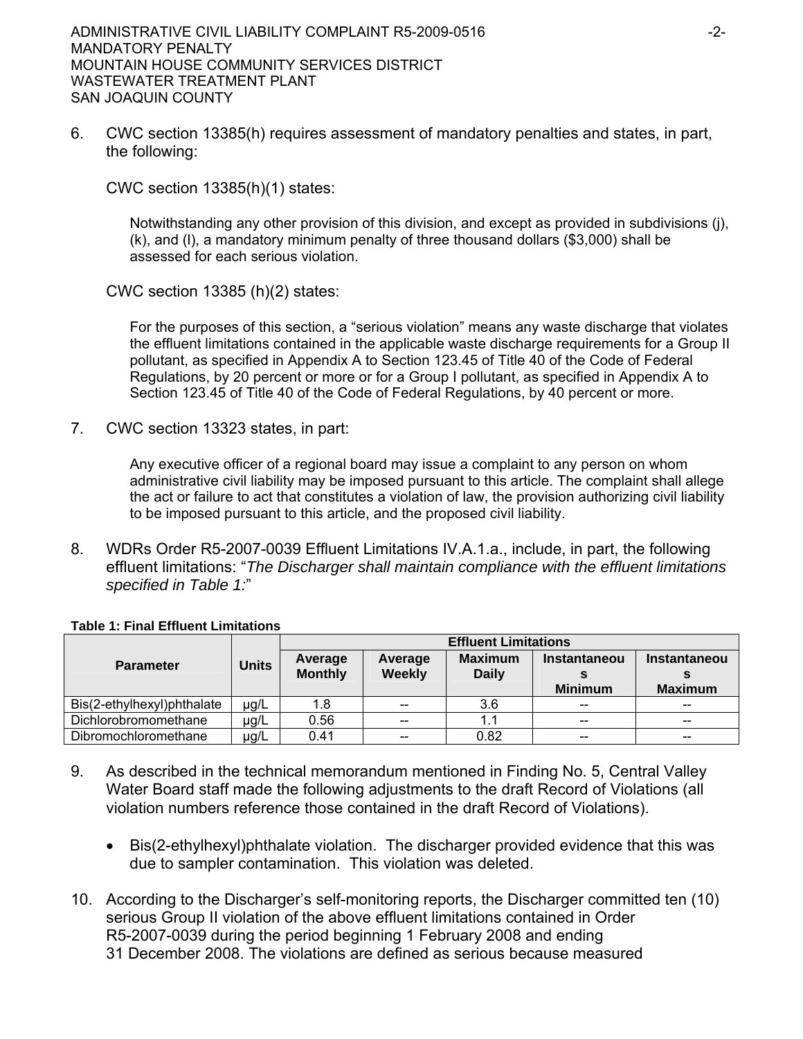6. CWC section 13385(h) requires assessment of mandatory penalties and states, in part, the following:

CWC section 13385(h)(1) states:

Notwithstanding any other provision of this division, and except as provided in subdivisions (j), (k), and (l), a mandatory minimum penalty of three thousand dollars (\$3,000) shall be assessed for each serious violation.

CWC section 13385 (h)(2) states:

For the purposes of this section, a "serious violation" means any waste discharge that violates the effluent limitations contained in the applicable waste discharge requirements for a Group II pollutant, as specified in Appendix A to Section 123.45 of Title 40 of the Code of Federal Regulations, by 20 percent or more or for a Group I pollutant, as specified in Appendix A to Section 123.45 of Title 40 of the Code of Federal Regulations, by 40 percent or more.

7. CWC section 13323 states, in part:

Any executive officer of a regional board may issue a complaint to any person on whom administrative civil liability may be imposed pursuant to this article. The complaint shall allege the act or failure to act that constitutes a violation of law, the provision authorizing civil liability to be imposed pursuant to this article, and the proposed civil liability.

8. WDRs Order R5-2007-0039 Effluent Limitations IV.A.1.a., include, in part, the following effluent limitations: "*The Discharger shall maintain compliance with the effluent limitations specified in Table 1:*"

|                            |              | <b>Effluent Limitations</b> |         |                |                     |                     |  |
|----------------------------|--------------|-----------------------------|---------|----------------|---------------------|---------------------|--|
| <b>Parameter</b>           | <b>Units</b> | Average                     | Average | <b>Maximum</b> | <b>Instantaneou</b> | <b>Instantaneou</b> |  |
|                            |              | <b>Monthly</b>              | Weekly  | <b>Daily</b>   |                     |                     |  |
|                            |              |                             |         |                | <b>Minimum</b>      | <b>Maximum</b>      |  |
| Bis(2-ethylhexyl)phthalate | µg/L         | 1.8                         | $-$     | 3.6            | $-$                 | $- -$               |  |
| Dichlorobromomethane       | $\mu$ g/L    | 0.56                        | $-$     |                | $-$                 |                     |  |
| Dibromochloromethane       | $\mu$ g/L    | 0.41                        | --      | 0.82           | $- -$               | $- -$               |  |

#### **Table 1: Final Effluent Limitations**

- 9. As described in the technical memorandum mentioned in Finding No. 5, Central Valley Water Board staff made the following adjustments to the draft Record of Violations (all violation numbers reference those contained in the draft Record of Violations).
	- Bis(2-ethylhexyl)phthalate violation. The discharger provided evidence that this was due to sampler contamination. This violation was deleted.
- 10. According to the Discharger's self-monitoring reports, the Discharger committed ten (10) serious Group II violation of the above effluent limitations contained in Order R5-2007-0039 during the period beginning 1 February 2008 and ending 31 December 2008. The violations are defined as serious because measured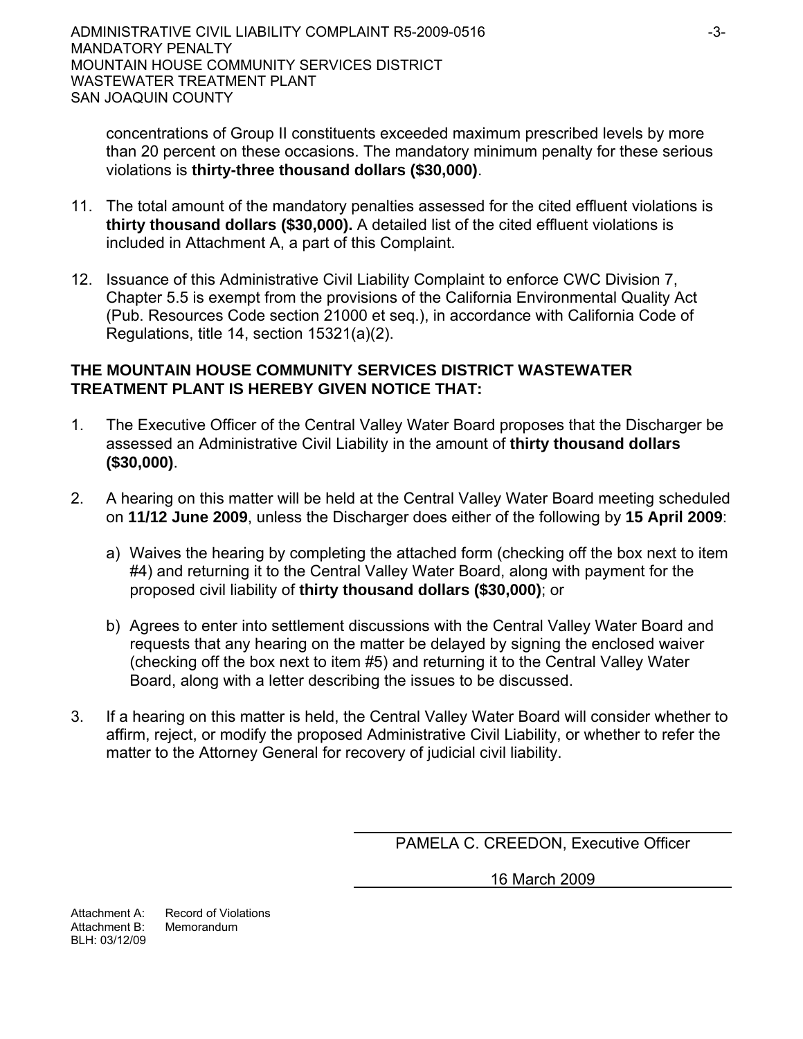concentrations of Group II constituents exceeded maximum prescribed levels by more than 20 percent on these occasions. The mandatory minimum penalty for these serious violations is **thirty-three thousand dollars (\$30,000)**.

- 11. The total amount of the mandatory penalties assessed for the cited effluent violations is **thirty thousand dollars (\$30,000).** A detailed list of the cited effluent violations is included in Attachment A, a part of this Complaint.
- 12. Issuance of this Administrative Civil Liability Complaint to enforce CWC Division 7, Chapter 5.5 is exempt from the provisions of the California Environmental Quality Act (Pub. Resources Code section 21000 et seq.), in accordance with California Code of Regulations, title 14, section 15321(a)(2).

# **THE MOUNTAIN HOUSE COMMUNITY SERVICES DISTRICT WASTEWATER TREATMENT PLANT IS HEREBY GIVEN NOTICE THAT:**

- 1. The Executive Officer of the Central Valley Water Board proposes that the Discharger be assessed an Administrative Civil Liability in the amount of **thirty thousand dollars (\$30,000)**.
- 2. A hearing on this matter will be held at the Central Valley Water Board meeting scheduled on **11/12 June 2009**, unless the Discharger does either of the following by **15 April 2009**:
	- a) Waives the hearing by completing the attached form (checking off the box next to item #4) and returning it to the Central Valley Water Board, along with payment for the proposed civil liability of **thirty thousand dollars (\$30,000)**; or
	- b) Agrees to enter into settlement discussions with the Central Valley Water Board and requests that any hearing on the matter be delayed by signing the enclosed waiver (checking off the box next to item #5) and returning it to the Central Valley Water Board, along with a letter describing the issues to be discussed.
- 3. If a hearing on this matter is held, the Central Valley Water Board will consider whether to affirm, reject, or modify the proposed Administrative Civil Liability, or whether to refer the matter to the Attorney General for recovery of judicial civil liability.

PAMELA C. CREEDON, Executive Officer

16 March 2009

Attachment A: Record of Violations Attachment B: Memorandum BLH: 03/12/09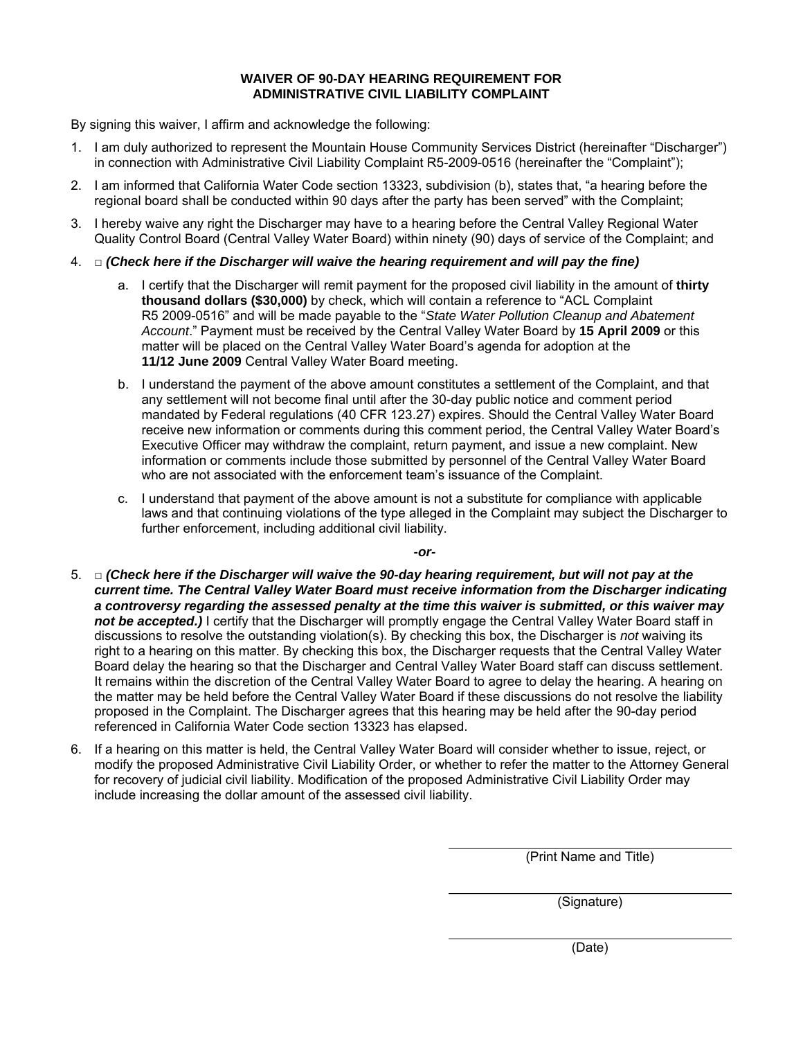#### **WAIVER OF 90-DAY HEARING REQUIREMENT FOR ADMINISTRATIVE CIVIL LIABILITY COMPLAINT**

By signing this waiver, I affirm and acknowledge the following:

- 1. I am duly authorized to represent the Mountain House Community Services District (hereinafter "Discharger") in connection with Administrative Civil Liability Complaint R5-2009-0516 (hereinafter the "Complaint");
- 2. I am informed that California Water Code section 13323, subdivision (b), states that, "a hearing before the regional board shall be conducted within 90 days after the party has been served" with the Complaint;
- 3. I hereby waive any right the Discharger may have to a hearing before the Central Valley Regional Water Quality Control Board (Central Valley Water Board) within ninety (90) days of service of the Complaint; and
- 4. □ *(Check here if the Discharger will waive the hearing requirement and will pay the fine)* 
	- a. I certify that the Discharger will remit payment for the proposed civil liability in the amount of **thirty thousand dollars (\$30,000)** by check, which will contain a reference to "ACL Complaint R5 2009-0516" and will be made payable to the "*State Water Pollution Cleanup and Abatement Account*." Payment must be received by the Central Valley Water Board by **15 April 2009** or this matter will be placed on the Central Valley Water Board's agenda for adoption at the **11/12 June 2009** Central Valley Water Board meeting.
	- b. I understand the payment of the above amount constitutes a settlement of the Complaint, and that any settlement will not become final until after the 30-day public notice and comment period mandated by Federal regulations (40 CFR 123.27) expires. Should the Central Valley Water Board receive new information or comments during this comment period, the Central Valley Water Board's Executive Officer may withdraw the complaint, return payment, and issue a new complaint. New information or comments include those submitted by personnel of the Central Valley Water Board who are not associated with the enforcement team's issuance of the Complaint.
	- c. I understand that payment of the above amount is not a substitute for compliance with applicable laws and that continuing violations of the type alleged in the Complaint may subject the Discharger to further enforcement, including additional civil liability.

*-or-*

- 5. □ *(Check here if the Discharger will waive the 90-day hearing requirement, but will not pay at the current time. The Central Valley Water Board must receive information from the Discharger indicating a controversy regarding the assessed penalty at the time this waiver is submitted, or this waiver may*  not be accepted.) I certify that the Discharger will promptly engage the Central Valley Water Board staff in discussions to resolve the outstanding violation(s). By checking this box, the Discharger is *not* waiving its right to a hearing on this matter. By checking this box, the Discharger requests that the Central Valley Water Board delay the hearing so that the Discharger and Central Valley Water Board staff can discuss settlement. It remains within the discretion of the Central Valley Water Board to agree to delay the hearing. A hearing on the matter may be held before the Central Valley Water Board if these discussions do not resolve the liability proposed in the Complaint. The Discharger agrees that this hearing may be held after the 90-day period referenced in California Water Code section 13323 has elapsed.
- 6. If a hearing on this matter is held, the Central Valley Water Board will consider whether to issue, reject, or modify the proposed Administrative Civil Liability Order, or whether to refer the matter to the Attorney General for recovery of judicial civil liability. Modification of the proposed Administrative Civil Liability Order may include increasing the dollar amount of the assessed civil liability.

(Print Name and Title)

(Signature)

(Date)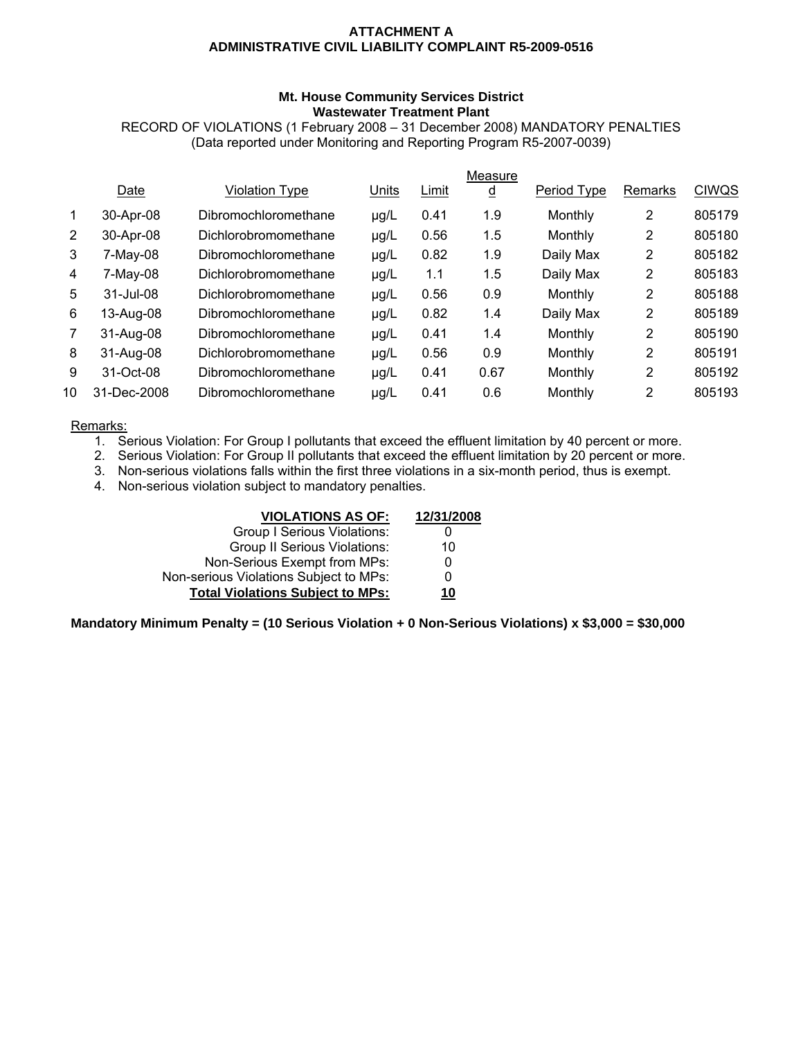#### **ATTACHMENT A ADMINISTRATIVE CIVIL LIABILITY COMPLAINT R5-2009-0516**

#### **Mt. House Community Services District Wastewater Treatment Plant**

RECORD OF VIOLATIONS (1 February 2008 – 31 December 2008) MANDATORY PENALTIES (Data reported under Monitoring and Reporting Program R5-2007-0039)

|                |                  |                       |           |       | Measure  |             |                |              |
|----------------|------------------|-----------------------|-----------|-------|----------|-------------|----------------|--------------|
|                | Date             | <b>Violation Type</b> | Units     | Limit | <u>d</u> | Period Type | Remarks        | <b>CIWQS</b> |
|                | 30-Apr-08        | Dibromochloromethane  | µg/L      | 0.41  | 1.9      | Monthly     | 2              | 805179       |
| $\overline{2}$ | 30-Apr-08        | Dichlorobromomethane  | µg/L      | 0.56  | 1.5      | Monthly     | 2              | 805180       |
| 3              | $7-May-08$       | Dibromochloromethane  | µg/L      | 0.82  | 1.9      | Daily Max   | 2              | 805182       |
| 4              | $7-May-08$       | Dichlorobromomethane  | $\mu$ g/L | 1.1   | 1.5      | Daily Max   | 2              | 805183       |
| 5              | $31 -$ Jul $-08$ | Dichlorobromomethane  | µg/L      | 0.56  | 0.9      | Monthly     | 2              | 805188       |
| 6              | 13-Aug-08        | Dibromochloromethane  | µg/L      | 0.82  | 1.4      | Daily Max   | 2              | 805189       |
|                | 31-Aug-08        | Dibromochloromethane  | µg/L      | 0.41  | 1.4      | Monthly     | 2              | 805190       |
| 8              | 31-Aug-08        | Dichlorobromomethane  | µg/L      | 0.56  | 0.9      | Monthly     | 2              | 805191       |
| 9              | 31-Oct-08        | Dibromochloromethane  | µg/L      | 0.41  | 0.67     | Monthly     | 2              | 805192       |
| 10             | 31-Dec-2008      | Dibromochloromethane  | µg/L      | 0.41  | 0.6      | Monthly     | $\overline{2}$ | 805193       |
|                |                  |                       |           |       |          |             |                |              |

#### Remarks:

- 1. Serious Violation: For Group I pollutants that exceed the effluent limitation by 40 percent or more.
- 2. Serious Violation: For Group II pollutants that exceed the effluent limitation by 20 percent or more.
- 3. Non-serious violations falls within the first three violations in a six-month period, thus is exempt.
- 4. Non-serious violation subject to mandatory penalties.

| <b>VIOLATIONS AS OF:</b>                | 12/31/2008 |
|-----------------------------------------|------------|
| Group I Serious Violations:             |            |
| <b>Group II Serious Violations:</b>     | 10         |
| Non-Serious Exempt from MPs:            |            |
| Non-serious Violations Subject to MPs:  | 0          |
| <b>Total Violations Subject to MPs:</b> | <u> 10</u> |

**Mandatory Minimum Penalty = (10 Serious Violation + 0 Non-Serious Violations) x \$3,000 = \$30,000**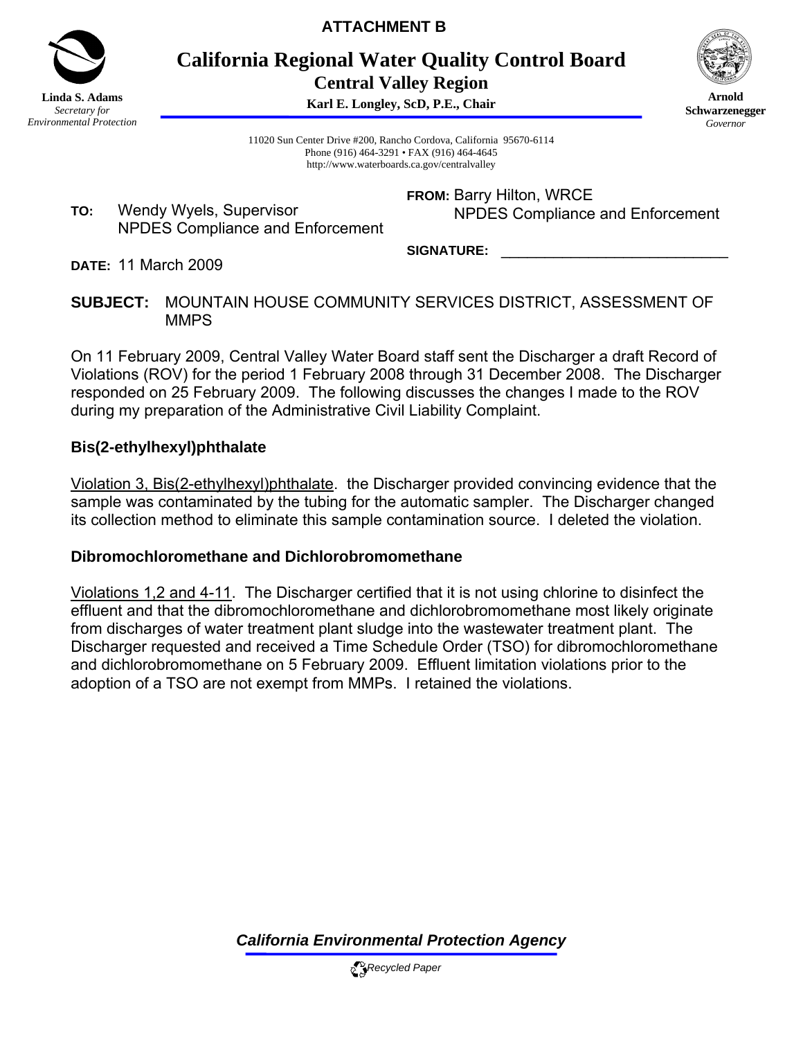

**ATTACHMENT B** 

**California Regional Water Quality Control Board Central Valley Region** 

**Karl E. Longley, ScD, P.E., Chair**



**Arnold Schwarzenegger** *Governor* 

11020 Sun Center Drive #200, Rancho Cordova, California 95670-6114 Phone (916) 464-3291 • FAX (916) 464-4645 http://www.waterboards.ca.gov/centralvalley

**TO:** Wendy Wyels, Supervisor NPDES Compliance and Enforcement **FROM:** Barry Hilton, WRCE NPDES Compliance and Enforcement

SIGNATURE:

**DATE:** 11 March 2009

**SUBJECT:** MOUNTAIN HOUSE COMMUNITY SERVICES DISTRICT, ASSESSMENT OF **MMPS** 

On 11 February 2009, Central Valley Water Board staff sent the Discharger a draft Record of Violations (ROV) for the period 1 February 2008 through 31 December 2008. The Discharger responded on 25 February 2009. The following discusses the changes I made to the ROV during my preparation of the Administrative Civil Liability Complaint.

# **Bis(2-ethylhexyl)phthalate**

Violation 3, Bis(2-ethylhexyl)phthalate. the Discharger provided convincing evidence that the sample was contaminated by the tubing for the automatic sampler. The Discharger changed its collection method to eliminate this sample contamination source. I deleted the violation.

# **Dibromochloromethane and Dichlorobromomethane**

Violations 1,2 and 4-11. The Discharger certified that it is not using chlorine to disinfect the effluent and that the dibromochloromethane and dichlorobromomethane most likely originate from discharges of water treatment plant sludge into the wastewater treatment plant. The Discharger requested and received a Time Schedule Order (TSO) for dibromochloromethane and dichlorobromomethane on 5 February 2009. Effluent limitation violations prior to the adoption of a TSO are not exempt from MMPs. I retained the violations.

*California Environmental Protection Agency*